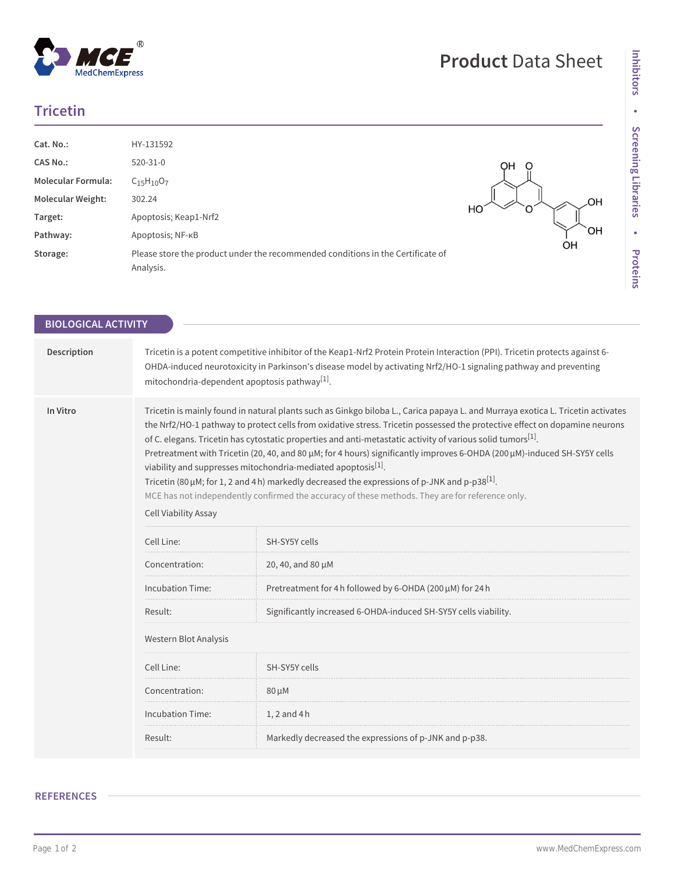## **Tricetin**

 $^{\circledR}$ 

MedChemExpress

| Cat. No.:                 | HY-131592                                                                                    |    |
|---------------------------|----------------------------------------------------------------------------------------------|----|
| <b>CAS No.:</b>           | 520-31-0                                                                                     | ΟH |
| <b>Molecular Formula:</b> | $C_{15}H_{10}O_7$                                                                            | OН |
| <b>Molecular Weight:</b>  | 302.24                                                                                       |    |
| Target:                   | Apoptosis; Keap1-Nrf2                                                                        | НC |
| Pathway:                  | Apoptosis; NF-KB                                                                             | OН |
| Storage:                  | Please store the product under the recommended conditions in the Certificate of<br>Analysis. | ΟH |

| <b>BIOLOGICAL ACTIVITY</b> |                                                                                                                                                                                                                                                                                                                                                                                                                                                                                                                                                                                                                                                                                                                                                                                                                                                       |                                                                 |  |
|----------------------------|-------------------------------------------------------------------------------------------------------------------------------------------------------------------------------------------------------------------------------------------------------------------------------------------------------------------------------------------------------------------------------------------------------------------------------------------------------------------------------------------------------------------------------------------------------------------------------------------------------------------------------------------------------------------------------------------------------------------------------------------------------------------------------------------------------------------------------------------------------|-----------------------------------------------------------------|--|
|                            |                                                                                                                                                                                                                                                                                                                                                                                                                                                                                                                                                                                                                                                                                                                                                                                                                                                       |                                                                 |  |
| Description                | Tricetin is a potent competitive inhibitor of the Keap1-Nrf2 Protein Protein Interaction (PPI). Tricetin protects against 6-<br>OHDA-induced neurotoxicity in Parkinson's disease model by activating Nrf2/HO-1 signaling pathway and preventing<br>mitochondria-dependent apoptosis pathway <sup>[1]</sup> .                                                                                                                                                                                                                                                                                                                                                                                                                                                                                                                                         |                                                                 |  |
| In Vitro                   | Tricetin is mainly found in natural plants such as Ginkgo biloba L., Carica papaya L. and Murraya exotica L. Tricetin activates<br>the Nrf2/HO-1 pathway to protect cells from oxidative stress. Tricetin possessed the protective effect on dopamine neurons<br>of C. elegans. Tricetin has cytostatic properties and anti-metastatic activity of various solid tumors <sup>[1]</sup> .<br>Pretreatment with Tricetin (20, 40, and 80 µM; for 4 hours) significantly improves 6-OHDA (200 µM)-induced SH-SY5Y cells<br>viability and suppresses mitochondria-mediated apoptosis <sup>[1]</sup> .<br>Tricetin (80 $\mu$ M; for 1, 2 and 4 h) markedly decreased the expressions of p-JNK and p-p38 <sup>[1]</sup> .<br>MCE has not independently confirmed the accuracy of these methods. They are for reference only.<br><b>Cell Viability Assay</b> |                                                                 |  |
|                            | Cell Line:                                                                                                                                                                                                                                                                                                                                                                                                                                                                                                                                                                                                                                                                                                                                                                                                                                            | SH-SY5Y cells                                                   |  |
|                            | Concentration:                                                                                                                                                                                                                                                                                                                                                                                                                                                                                                                                                                                                                                                                                                                                                                                                                                        | 20, 40, and 80 µM                                               |  |
|                            | <b>Incubation Time:</b>                                                                                                                                                                                                                                                                                                                                                                                                                                                                                                                                                                                                                                                                                                                                                                                                                               | Pretreatment for 4 h followed by 6-OHDA (200 µM) for 24 h       |  |
|                            | Result:                                                                                                                                                                                                                                                                                                                                                                                                                                                                                                                                                                                                                                                                                                                                                                                                                                               | Significantly increased 6-OHDA-induced SH-SY5Y cells viability. |  |
|                            | Western Blot Analysis                                                                                                                                                                                                                                                                                                                                                                                                                                                                                                                                                                                                                                                                                                                                                                                                                                 |                                                                 |  |
|                            | Cell Line:                                                                                                                                                                                                                                                                                                                                                                                                                                                                                                                                                                                                                                                                                                                                                                                                                                            | SH-SY5Y cells                                                   |  |
|                            | Concentration:                                                                                                                                                                                                                                                                                                                                                                                                                                                                                                                                                                                                                                                                                                                                                                                                                                        | $80 \mu M$                                                      |  |
|                            | <b>Incubation Time:</b>                                                                                                                                                                                                                                                                                                                                                                                                                                                                                                                                                                                                                                                                                                                                                                                                                               | $1, 2$ and $4h$                                                 |  |
|                            | Result:                                                                                                                                                                                                                                                                                                                                                                                                                                                                                                                                                                                                                                                                                                                                                                                                                                               | Markedly decreased the expressions of p-JNK and p-p38.          |  |

## **REFERENCES**

## **Product** Data Sheet